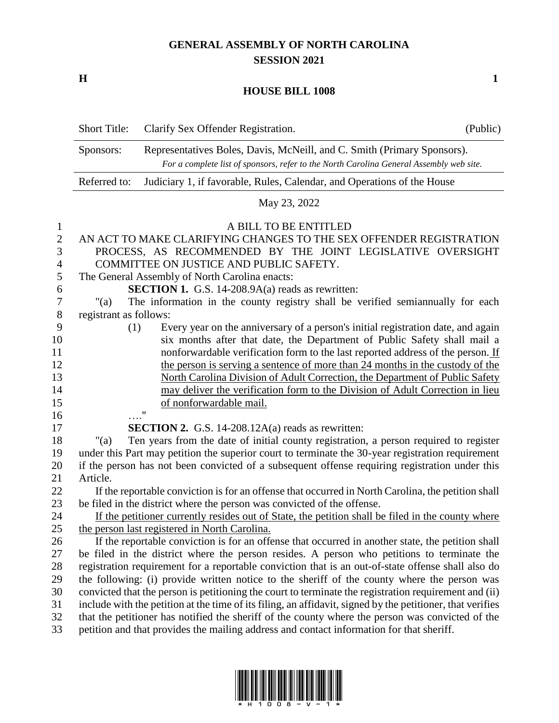## **GENERAL ASSEMBLY OF NORTH CAROLINA SESSION 2021**

**H 1**

## **HOUSE BILL 1008**

|                | <b>Short Title:</b>                                                                                                                                                             | Clarify Sex Offender Registration.                                                    | (Public) |
|----------------|---------------------------------------------------------------------------------------------------------------------------------------------------------------------------------|---------------------------------------------------------------------------------------|----------|
|                | Representatives Boles, Davis, McNeill, and C. Smith (Primary Sponsors).<br>Sponsors:<br>For a complete list of sponsors, refer to the North Carolina General Assembly web site. |                                                                                       |          |
|                | Judiciary 1, if favorable, Rules, Calendar, and Operations of the House<br>Referred to:                                                                                         |                                                                                       |          |
|                | May 23, 2022                                                                                                                                                                    |                                                                                       |          |
| 1              | A BILL TO BE ENTITLED                                                                                                                                                           |                                                                                       |          |
| $\overline{2}$ | AN ACT TO MAKE CLARIFYING CHANGES TO THE SEX OFFENDER REGISTRATION                                                                                                              |                                                                                       |          |
| 3              | PROCESS, AS RECOMMENDED BY THE JOINT LEGISLATIVE OVERSIGHT                                                                                                                      |                                                                                       |          |
| 4              | COMMITTEE ON JUSTICE AND PUBLIC SAFETY.                                                                                                                                         |                                                                                       |          |
| 5              | The General Assembly of North Carolina enacts:                                                                                                                                  |                                                                                       |          |
| 6              | <b>SECTION 1.</b> G.S. 14-208.9A(a) reads as rewritten:                                                                                                                         |                                                                                       |          |
| $\tau$         | The information in the county registry shall be verified semiannually for each<br>" $(a)$                                                                                       |                                                                                       |          |
| $8\,$          | registrant as follows:                                                                                                                                                          |                                                                                       |          |
| 9              | (1)                                                                                                                                                                             | Every year on the anniversary of a person's initial registration date, and again      |          |
| 10             |                                                                                                                                                                                 | six months after that date, the Department of Public Safety shall mail a              |          |
| 11             |                                                                                                                                                                                 | nonforwardable verification form to the last reported address of the person. If       |          |
| 12             |                                                                                                                                                                                 | the person is serving a sentence of more than 24 months in the custody of the         |          |
| 13             |                                                                                                                                                                                 | North Carolina Division of Adult Correction, the Department of Public Safety          |          |
| 14             |                                                                                                                                                                                 | may deliver the verification form to the Division of Adult Correction in lieu         |          |
| 15             |                                                                                                                                                                                 | of nonforwardable mail.                                                               |          |
| 16             |                                                                                                                                                                                 | $^{\prime\prime}$                                                                     |          |
| 17             |                                                                                                                                                                                 | <b>SECTION 2.</b> G.S. 14-208.12A(a) reads as rewritten:                              |          |
| 18             | " $(a)$                                                                                                                                                                         | Ten years from the date of initial county registration, a person required to register |          |
| 1Ο.            | under this Dart may petition the superior court to terminate the 30 year registration requirement                                                                               |                                                                                       |          |

 under this Part may petition the superior court to terminate the 30-year registration requirement if the person has not been convicted of a subsequent offense requiring registration under this Article.

- If the reportable conviction is for an offense that occurred in North Carolina, the petition shall be filed in the district where the person was convicted of the offense.
- If the petitioner currently resides out of State, the petition shall be filed in the county where the person last registered in North Carolina.
- If the reportable conviction is for an offense that occurred in another state, the petition shall be filed in the district where the person resides. A person who petitions to terminate the registration requirement for a reportable conviction that is an out-of-state offense shall also do the following: (i) provide written notice to the sheriff of the county where the person was convicted that the person is petitioning the court to terminate the registration requirement and (ii) include with the petition at the time of its filing, an affidavit, signed by the petitioner, that verifies that the petitioner has notified the sheriff of the county where the person was convicted of the petition and that provides the mailing address and contact information for that sheriff.